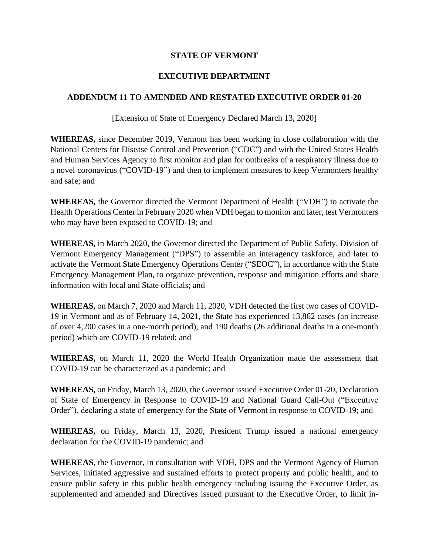## **STATE OF VERMONT**

## **EXECUTIVE DEPARTMENT**

## **ADDENDUM 11 TO AMENDED AND RESTATED EXECUTIVE ORDER 01-20**

[Extension of State of Emergency Declared March 13, 2020]

**WHEREAS,** since December 2019, Vermont has been working in close collaboration with the National Centers for Disease Control and Prevention ("CDC") and with the United States Health and Human Services Agency to first monitor and plan for outbreaks of a respiratory illness due to a novel coronavirus ("COVID-19") and then to implement measures to keep Vermonters healthy and safe; and

**WHEREAS,** the Governor directed the Vermont Department of Health ("VDH") to activate the Health Operations Center in February 2020 when VDH began to monitor and later, test Vermonters who may have been exposed to COVID-19; and

**WHEREAS,** in March 2020, the Governor directed the Department of Public Safety, Division of Vermont Emergency Management ("DPS") to assemble an interagency taskforce, and later to activate the Vermont State Emergency Operations Center ("SEOC"), in accordance with the State Emergency Management Plan, to organize prevention, response and mitigation efforts and share information with local and State officials; and

**WHEREAS,** on March 7, 2020 and March 11, 2020, VDH detected the first two cases of COVID-19 in Vermont and as of February 14, 2021, the State has experienced 13,862 cases (an increase of over 4,200 cases in a one-month period), and 190 deaths (26 additional deaths in a one-month period) which are COVID-19 related; and

**WHEREAS,** on March 11, 2020 the World Health Organization made the assessment that COVID-19 can be characterized as a pandemic; and

**WHEREAS,** on Friday, March 13, 2020, the Governor issued Executive Order 01-20, Declaration of State of Emergency in Response to COVID-19 and National Guard Call-Out ("Executive Order"), declaring a state of emergency for the State of Vermont in response to COVID-19; and

**WHEREAS,** on Friday, March 13, 2020, President Trump issued a national emergency declaration for the COVID-19 pandemic; and

**WHEREAS**, the Governor, in consultation with VDH, DPS and the Vermont Agency of Human Services, initiated aggressive and sustained efforts to protect property and public health, and to ensure public safety in this public health emergency including issuing the Executive Order, as supplemented and amended and Directives issued pursuant to the Executive Order, to limit in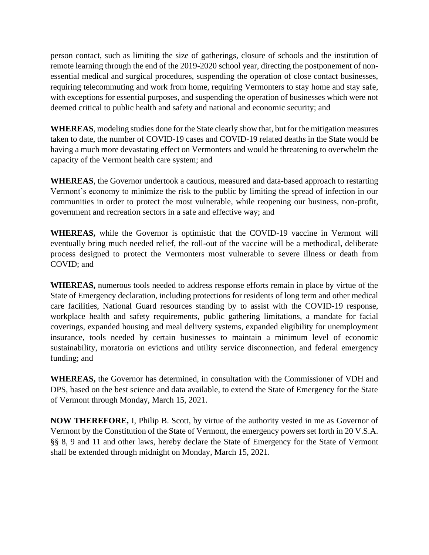person contact, such as limiting the size of gatherings, closure of schools and the institution of remote learning through the end of the 2019-2020 school year, directing the postponement of nonessential medical and surgical procedures, suspending the operation of close contact businesses, requiring telecommuting and work from home, requiring Vermonters to stay home and stay safe, with exceptions for essential purposes, and suspending the operation of businesses which were not deemed critical to public health and safety and national and economic security; and

**WHEREAS**, modeling studies done for the State clearly show that, but for the mitigation measures taken to date, the number of COVID-19 cases and COVID-19 related deaths in the State would be having a much more devastating effect on Vermonters and would be threatening to overwhelm the capacity of the Vermont health care system; and

**WHEREAS**, the Governor undertook a cautious, measured and data-based approach to restarting Vermont's economy to minimize the risk to the public by limiting the spread of infection in our communities in order to protect the most vulnerable, while reopening our business, non-profit, government and recreation sectors in a safe and effective way; and

**WHEREAS,** while the Governor is optimistic that the COVID-19 vaccine in Vermont will eventually bring much needed relief, the roll-out of the vaccine will be a methodical, deliberate process designed to protect the Vermonters most vulnerable to severe illness or death from COVID; and

**WHEREAS,** numerous tools needed to address response efforts remain in place by virtue of the State of Emergency declaration, including protections for residents of long term and other medical care facilities, National Guard resources standing by to assist with the COVID-19 response, workplace health and safety requirements, public gathering limitations, a mandate for facial coverings, expanded housing and meal delivery systems, expanded eligibility for unemployment insurance, tools needed by certain businesses to maintain a minimum level of economic sustainability, moratoria on evictions and utility service disconnection, and federal emergency funding; and

**WHEREAS,** the Governor has determined, in consultation with the Commissioner of VDH and DPS, based on the best science and data available, to extend the State of Emergency for the State of Vermont through Monday, March 15, 2021.

**NOW THEREFORE,** I, Philip B. Scott, by virtue of the authority vested in me as Governor of Vermont by the Constitution of the State of Vermont, the emergency powers set forth in 20 V.S.A. §§ 8, 9 and 11 and other laws, hereby declare the State of Emergency for the State of Vermont shall be extended through midnight on Monday, March 15, 2021.